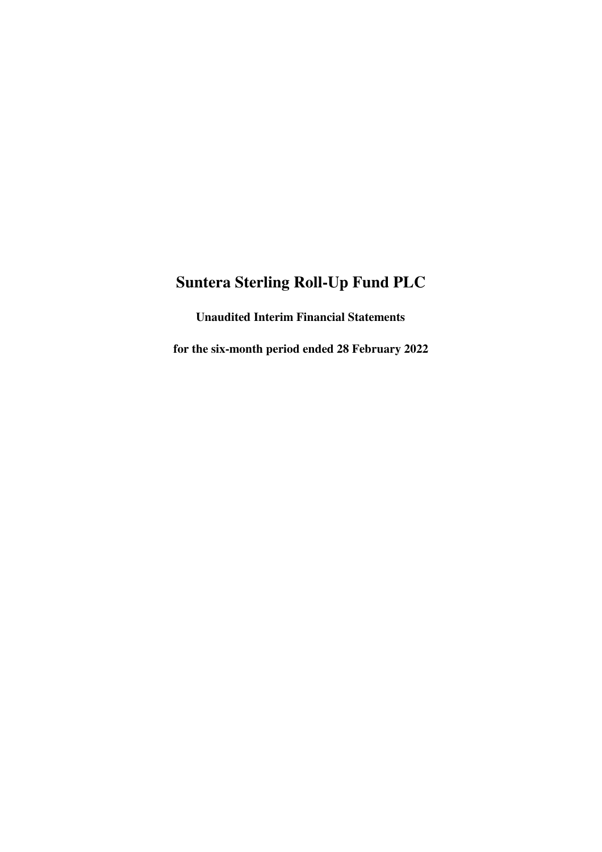**Unaudited Interim Financial Statements**

**for the six-month period ended 28 February 2022**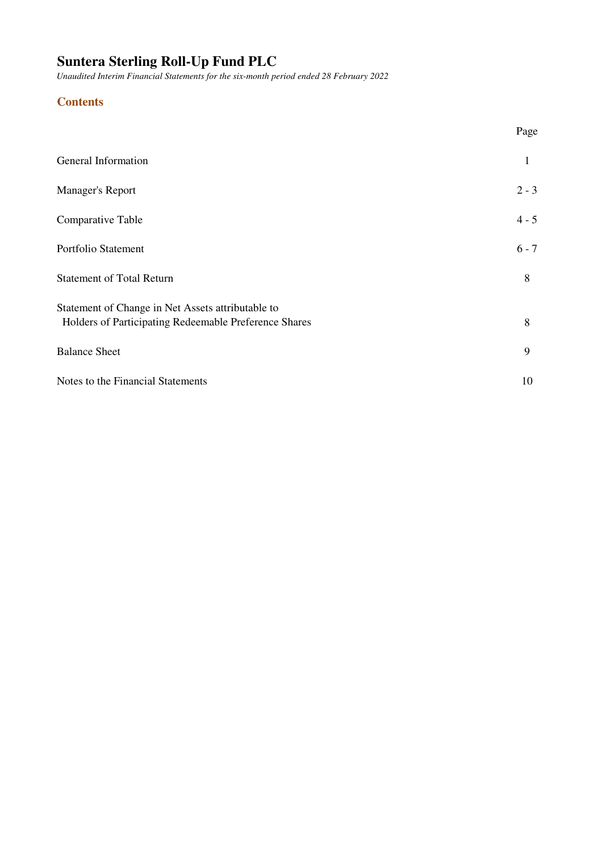*Unaudited Interim Financial Statements for the six-month period ended 28 February 2022*

# **Contents**

|                                                                                                            | Page    |
|------------------------------------------------------------------------------------------------------------|---------|
| General Information                                                                                        | 1       |
| Manager's Report                                                                                           | $2 - 3$ |
| Comparative Table                                                                                          | $4 - 5$ |
| Portfolio Statement                                                                                        | $6 - 7$ |
| <b>Statement of Total Return</b>                                                                           | 8       |
| Statement of Change in Net Assets attributable to<br>Holders of Participating Redeemable Preference Shares | 8       |
| <b>Balance Sheet</b>                                                                                       | 9       |
| Notes to the Financial Statements                                                                          | 10      |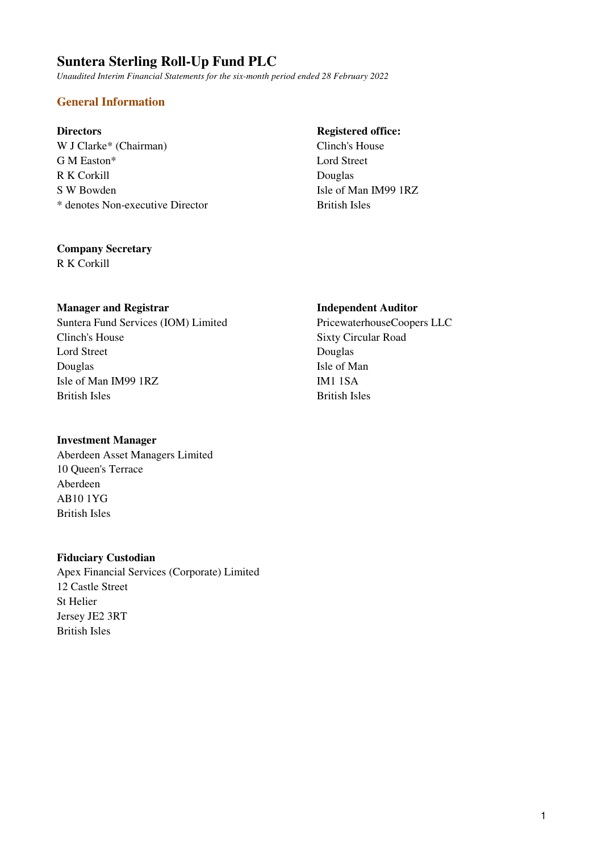*Unaudited Interim Financial Statements for the six-month period ended 28 February 2022*

# **General Information**

W J Clarke\* (Chairman) Clinch's House G M Easton\* Lord Street R K Corkill Douglas S W Bowden Isle of Man IM99 1RZ \* denotes Non-executive Director British Isles

### **Directors** Registered office:

### **Company Secretary**

R K Corkill

### **Manager and Registrar Independent Auditor**

Suntera Fund Services (IOM) Limited PricewaterhouseCoopers LLC Clinch's House Sixty Circular Road Lord Street Douglas Douglas Isle of Man Isle of Man IM99 1RZ IM1 1SA British Isles British Isles

### **Investment Manager**

Aberdeen Asset Managers Limited 10 Queen's Terrace Aberdeen AB10 1YG British Isles

### **Fiduciary Custodian**

Apex Financial Services (Corporate) Limited 12 Castle Street St Helier Jersey JE2 3RT British Isles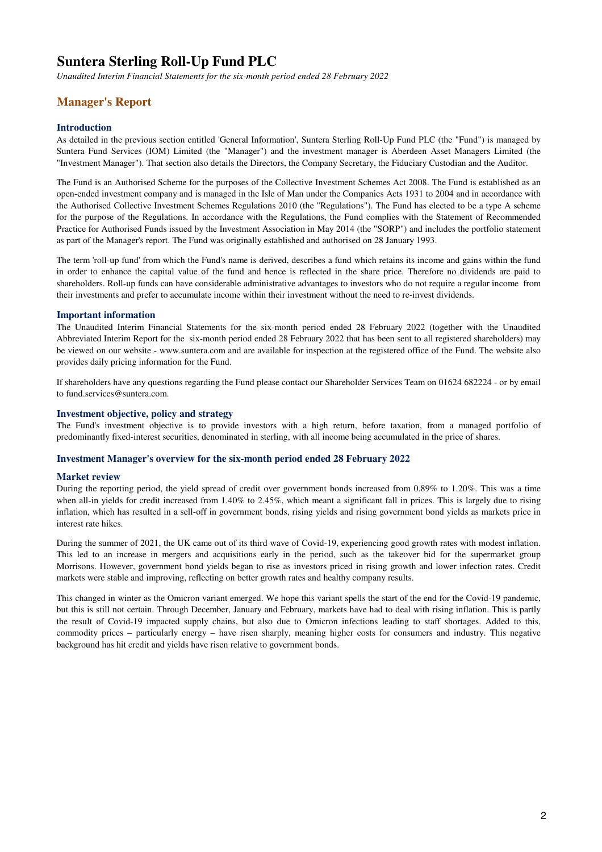*Unaudited Interim Financial Statements for the six-month period ended 28 February 2022*

# **Manager's Report**

#### **Introduction**

As detailed in the previous section entitled 'General Information', Suntera Sterling Roll-Up Fund PLC (the "Fund") is managed by Suntera Fund Services (IOM) Limited (the "Manager") and the investment manager is Aberdeen Asset Managers Limited (the "Investment Manager"). That section also details the Directors, the Company Secretary, the Fiduciary Custodian and the Auditor.

The Fund is an Authorised Scheme for the purposes of the Collective Investment Schemes Act 2008. The Fund is established as an open-ended investment company and is managed in the Isle of Man under the Companies Acts 1931 to 2004 and in accordance with the Authorised Collective Investment Schemes Regulations 2010 (the "Regulations"). The Fund has elected to be a type A scheme for the purpose of the Regulations. In accordance with the Regulations, the Fund complies with the Statement of Recommended Practice for Authorised Funds issued by the Investment Association in May 2014 (the "SORP") and includes the portfolio statement as part of the Manager's report. The Fund was originally established and authorised on 28 January 1993.

The term 'roll-up fund' from which the Fund's name is derived, describes a fund which retains its income and gains within the fund in order to enhance the capital value of the fund and hence is reflected in the share price. Therefore no dividends are paid to shareholders. Roll-up funds can have considerable administrative advantages to investors who do not require a regular income from their investments and prefer to accumulate income within their investment without the need to re-invest dividends.

#### **Important information**

The Unaudited Interim Financial Statements for the six-month period ended 28 February 2022 (together with the Unaudited Abbreviated Interim Report for the six-month period ended 28 February 2022 that has been sent to all registered shareholders) may be viewed on our website - www.suntera.com and are available for inspection at the registered office of the Fund. The website also provides daily pricing information for the Fund.

If shareholders have any questions regarding the Fund please contact our Shareholder Services Team on 01624 682224 - or by email to fund.services@suntera.com.

#### **Investment objective, policy and strategy**

The Fund's investment objective is to provide investors with a high return, before taxation, from a managed portfolio of predominantly fixed-interest securities, denominated in sterling, with all income being accumulated in the price of shares.

#### **Investment Manager's overview for the six-month period ended 28 February 2022**

#### **Market review**

During the reporting period, the yield spread of credit over government bonds increased from 0.89% to 1.20%. This was a time when all-in yields for credit increased from 1.40% to 2.45%, which meant a significant fall in prices. This is largely due to rising inflation, which has resulted in a sell-off in government bonds, rising yields and rising government bond yields as markets price in interest rate hikes.

During the summer of 2021, the UK came out of its third wave of Covid-19, experiencing good growth rates with modest inflation. This led to an increase in mergers and acquisitions early in the period, such as the takeover bid for the supermarket group Morrisons. However, government bond yields began to rise as investors priced in rising growth and lower infection rates. Credit markets were stable and improving, reflecting on better growth rates and healthy company results.

This changed in winter as the Omicron variant emerged. We hope this variant spells the start of the end for the Covid-19 pandemic, but this is still not certain. Through December, January and February, markets have had to deal with rising inflation. This is partly the result of Covid-19 impacted supply chains, but also due to Omicron infections leading to staff shortages. Added to this, commodity prices – particularly energy – have risen sharply, meaning higher costs for consumers and industry. This negative background has hit credit and yields have risen relative to government bonds.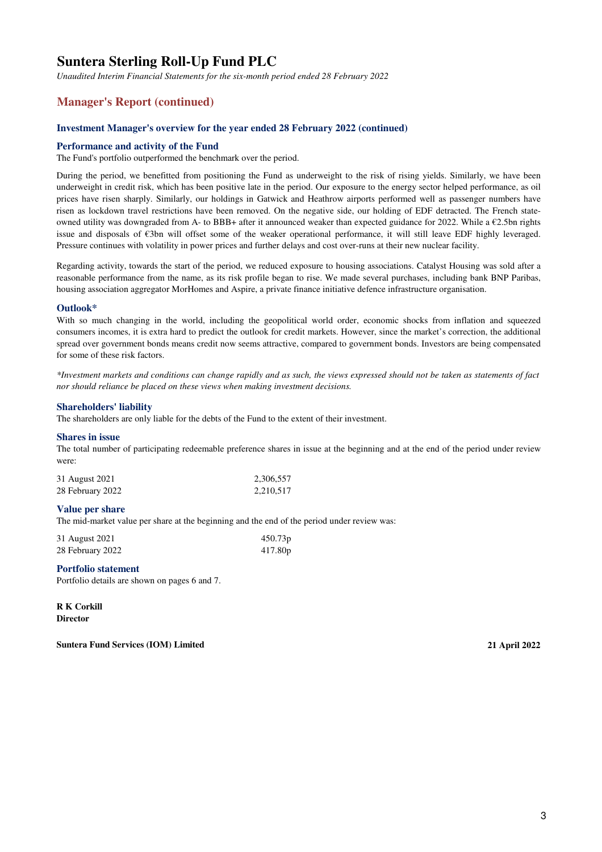*Unaudited Interim Financial Statements for the six-month period ended 28 February 2022*

### **Manager's Report (continued)**

#### **Investment Manager's overview for the year ended 28 February 2022 (continued)**

#### **Performance and activity of the Fund**

The Fund's portfolio outperformed the benchmark over the period.

During the period, we benefitted from positioning the Fund as underweight to the risk of rising yields. Similarly, we have been underweight in credit risk, which has been positive late in the period. Our exposure to the energy sector helped performance, as oil prices have risen sharply. Similarly, our holdings in Gatwick and Heathrow airports performed well as passenger numbers have risen as lockdown travel restrictions have been removed. On the negative side, our holding of EDF detracted. The French stateowned utility was downgraded from A- to BBB+ after it announced weaker than expected guidance for 2022. While a  $\epsilon$ 2.5bn rights issue and disposals of €3bn will offset some of the weaker operational performance, it will still leave EDF highly leveraged. Pressure continues with volatility in power prices and further delays and cost over-runs at their new nuclear facility.

Regarding activity, towards the start of the period, we reduced exposure to housing associations. Catalyst Housing was sold after a reasonable performance from the name, as its risk profile began to rise. We made several purchases, including bank BNP Paribas, housing association aggregator MorHomes and Aspire, a private finance initiative defence infrastructure organisation.

#### **Outlook\***

With so much changing in the world, including the geopolitical world order, economic shocks from inflation and squeezed consumers incomes, it is extra hard to predict the outlook for credit markets. However, since the market's correction, the additional spread over government bonds means credit now seems attractive, compared to government bonds. Investors are being compensated for some of these risk factors.

*\*Investment markets and conditions can change rapidly and as such, the views expressed should not be taken as statements of fact nor should reliance be placed on these views when making investment decisions.*

#### **Shareholders' liability**

The shareholders are only liable for the debts of the Fund to the extent of their investment.

#### **Shares in issue**

The total number of participating redeemable preference shares in issue at the beginning and at the end of the period under review were:

| 31 August 2021   | 2,306,557 |
|------------------|-----------|
| 28 February 2022 | 2,210,517 |

#### **Value per share**

The mid-market value per share at the beginning and the end of the period under review was:

| 31 August 2021   | 450.73p |
|------------------|---------|
| 28 February 2022 | 417.80p |

### **Portfolio statement**

Portfolio details are shown on pages 6 and 7.

**R K Corkill Director**

**Suntera Fund Services (IOM) Limited 21 April 2022**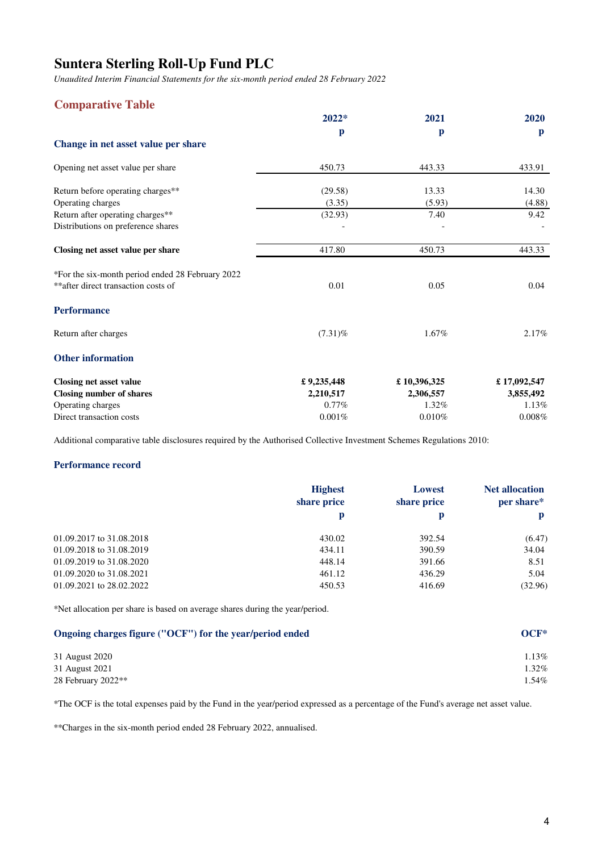*Unaudited Interim Financial Statements for the six-month period ended 28 February 2022*

# **Comparative Table**

|                                                  | $2022*$    | 2021         | 2020         |
|--------------------------------------------------|------------|--------------|--------------|
|                                                  | p          | $\mathbf{p}$ | $\mathbf{p}$ |
| Change in net asset value per share              |            |              |              |
| Opening net asset value per share                | 450.73     | 443.33       | 433.91       |
| Return before operating charges**                | (29.58)    | 13.33        | 14.30        |
| Operating charges                                | (3.35)     | (5.93)       | (4.88)       |
| Return after operating charges**                 | (32.93)    | 7.40         | 9.42         |
| Distributions on preference shares               |            |              |              |
| Closing net asset value per share                | 417.80     | 450.73       | 443.33       |
| *For the six-month period ended 28 February 2022 |            |              |              |
| ** after direct transaction costs of             | 0.01       | 0.05         | 0.04         |
| <b>Performance</b>                               |            |              |              |
| Return after charges                             | $(7.31)\%$ | 1.67%        | 2.17%        |
| <b>Other information</b>                         |            |              |              |
| Closing net asset value                          | £9,235,448 | £10,396,325  | £17,092,547  |
| <b>Closing number of shares</b>                  | 2,210,517  | 2,306,557    | 3,855,492    |
| Operating charges                                | $0.77\%$   | 1.32%        | 1.13%        |
| Direct transaction costs                         | 0.001%     | 0.010%       | 0.008%       |

Additional comparative table disclosures required by the Authorised Collective Investment Schemes Regulations 2010:

### **Performance record**

|                          | <b>Highest</b><br>share price | <b>Lowest</b><br>share price | <b>Net allocation</b><br>per share* |
|--------------------------|-------------------------------|------------------------------|-------------------------------------|
|                          | p                             | p                            | p                                   |
| 01.09.2017 to 31.08.2018 | 430.02                        | 392.54                       | (6.47)                              |
| 01.09.2018 to 31.08.2019 | 434.11                        | 390.59                       | 34.04                               |
| 01.09.2019 to 31.08.2020 | 448.14                        | 391.66                       | 8.51                                |
| 01.09.2020 to 31.08.2021 | 461.12                        | 436.29                       | 5.04                                |
| 01.09.2021 to 28.02.2022 | 450.53                        | 416.69                       | (32.96)                             |

\*Net allocation per share is based on average shares during the year/period.

| Ongoing charges figure ("OCF") for the year/period ended | OCF*  |
|----------------------------------------------------------|-------|
| 31 August 2020                                           | 1.13% |
| 31 August 2021                                           | 1.32% |
| 28 February $2022**$                                     | l.54% |

\*The OCF is the total expenses paid by the Fund in the year/period expressed as a percentage of the Fund's average net asset value.

\*\*Charges in the six-month period ended 28 February 2022, annualised.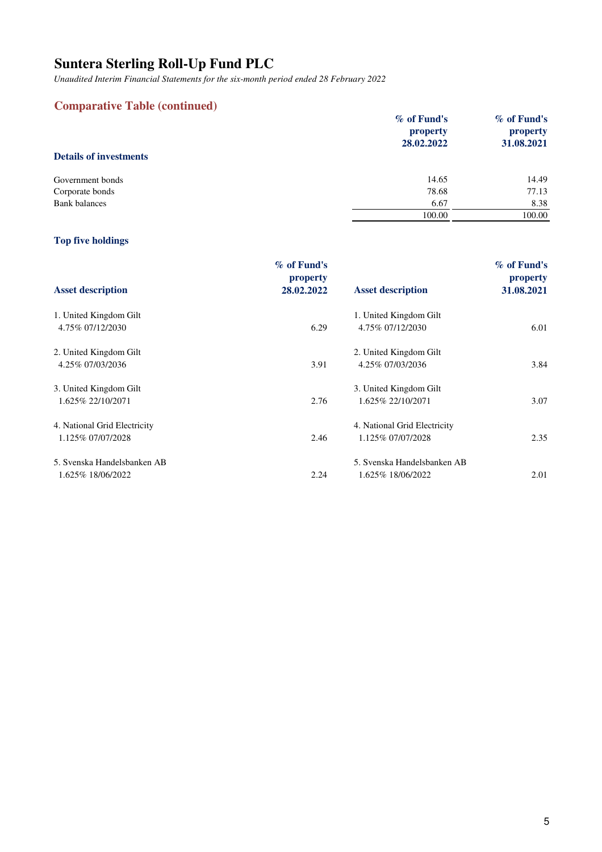*Unaudited Interim Financial Statements for the six-month period ended 28 February 2022*

# **Comparative Table (continued)**

|                               | $\%$ of Fund's<br>property<br>28.02.2022 | % of Fund's<br>property<br>31.08.2021 |
|-------------------------------|------------------------------------------|---------------------------------------|
| <b>Details of investments</b> |                                          |                                       |
| Government bonds              | 14.65                                    | 14.49                                 |
| Corporate bonds               | 78.68                                    | 77.13                                 |
| <b>Bank</b> balances          | 6.67                                     | 8.38                                  |
|                               | 100.00                                   | 100.00                                |
|                               |                                          |                                       |

# **Top five holdings**

|                              | $\%$ of Fund's<br>property |                              | $\%$ of Fund's<br>property |
|------------------------------|----------------------------|------------------------------|----------------------------|
| <b>Asset description</b>     | 28.02.2022                 | <b>Asset description</b>     | 31.08.2021                 |
| 1. United Kingdom Gilt       |                            | 1. United Kingdom Gilt       |                            |
| 4.75% 07/12/2030             | 6.29                       | 4.75% 07/12/2030             | 6.01                       |
| 2. United Kingdom Gilt       |                            | 2. United Kingdom Gilt       |                            |
| 4.25% 07/03/2036             | 3.91                       | 4.25% 07/03/2036             | 3.84                       |
| 3. United Kingdom Gilt       |                            | 3. United Kingdom Gilt       |                            |
| 1.625% 22/10/2071            | 2.76                       | 1.625% 22/10/2071            | 3.07                       |
| 4. National Grid Electricity |                            | 4. National Grid Electricity |                            |
| 1.125% 07/07/2028            | 2.46                       | 1.125% 07/07/2028            | 2.35                       |
| 5. Svenska Handelsbanken AB  |                            | 5. Svenska Handelsbanken AB  |                            |
| 1.625% 18/06/2022            | 2.24                       | 1.625% 18/06/2022            | 2.01                       |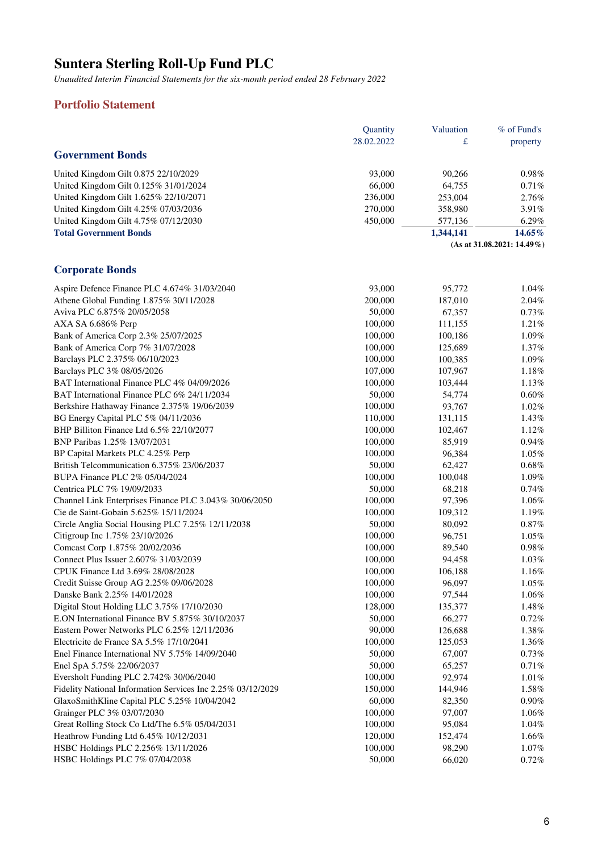*Unaudited Interim Financial Statements for the six-month period ended 28 February 2022*

# **Portfolio Statement**

|                                       | <b>Quantity</b> | Valuation | $%$ of Fund's                 |
|---------------------------------------|-----------------|-----------|-------------------------------|
|                                       | 28.02.2022      | £         | property                      |
| <b>Government Bonds</b>               |                 |           |                               |
| United Kingdom Gilt 0.875 22/10/2029  | 93,000          | 90.266    | $0.98\%$                      |
| United Kingdom Gilt 0.125% 31/01/2024 | 66,000          | 64.755    | 0.71%                         |
| United Kingdom Gilt 1.625% 22/10/2071 | 236,000         | 253,004   | 2.76%                         |
| United Kingdom Gilt 4.25% 07/03/2036  | 270,000         | 358,980   | $3.91\%$                      |
| United Kingdom Gilt 4.75% 07/12/2030  | 450,000         | 577,136   | $6.29\%$                      |
| <b>Total Government Bonds</b>         |                 | 1,344,141 | $14.65\%$                     |
|                                       |                 |           | $(As at 31.08.2021: 14.49\%)$ |

# **Corporate Bonds**

| Aspire Defence Finance PLC 4.674% 31/03/2040                | 93,000  | 95,772  | 1.04%    |
|-------------------------------------------------------------|---------|---------|----------|
| Athene Global Funding 1.875% 30/11/2028                     | 200,000 | 187,010 | 2.04%    |
| Aviva PLC 6.875% 20/05/2058                                 | 50,000  | 67,357  | 0.73%    |
| AXA SA 6.686% Perp                                          | 100,000 | 111,155 | 1.21%    |
| Bank of America Corp 2.3% 25/07/2025                        | 100,000 | 100,186 | 1.09%    |
| Bank of America Corp 7% 31/07/2028                          | 100,000 | 125,689 | 1.37%    |
| Barclays PLC 2.375% 06/10/2023                              | 100,000 | 100,385 | 1.09%    |
| Barclays PLC 3% 08/05/2026                                  | 107,000 | 107,967 | 1.18%    |
| BAT International Finance PLC 4% 04/09/2026                 | 100,000 | 103,444 | 1.13%    |
| BAT International Finance PLC 6% 24/11/2034                 | 50,000  | 54,774  | $0.60\%$ |
| Berkshire Hathaway Finance 2.375% 19/06/2039                | 100,000 | 93,767  | 1.02%    |
| BG Energy Capital PLC 5% 04/11/2036                         | 110,000 | 131,115 | 1.43%    |
| BHP Billiton Finance Ltd 6.5% 22/10/2077                    | 100,000 | 102,467 | 1.12%    |
| BNP Paribas 1.25% 13/07/2031                                | 100,000 | 85,919  | 0.94%    |
| BP Capital Markets PLC 4.25% Perp                           | 100,000 | 96,384  | 1.05%    |
| British Telcommunication 6.375% 23/06/2037                  | 50,000  | 62,427  | 0.68%    |
| BUPA Finance PLC 2% 05/04/2024                              | 100,000 | 100,048 | 1.09%    |
| Centrica PLC 7% 19/09/2033                                  | 50,000  | 68,218  | 0.74%    |
| Channel Link Enterprises Finance PLC 3.043% 30/06/2050      | 100,000 | 97,396  | 1.06%    |
| Cie de Saint-Gobain 5.625% 15/11/2024                       | 100,000 | 109,312 | 1.19%    |
| Circle Anglia Social Housing PLC 7.25% 12/11/2038           | 50,000  | 80,092  | 0.87%    |
| Citigroup Inc 1.75% 23/10/2026                              | 100,000 | 96,751  | $1.05\%$ |
| Comcast Corp 1.875% 20/02/2036                              | 100,000 | 89,540  | 0.98%    |
| Connect Plus Issuer 2.607% 31/03/2039                       | 100,000 | 94,458  | 1.03%    |
| CPUK Finance Ltd 3.69% 28/08/2028                           | 100,000 | 106,188 | 1.16%    |
| Credit Suisse Group AG 2.25% 09/06/2028                     | 100,000 | 96,097  | 1.05%    |
| Danske Bank 2.25% 14/01/2028                                | 100,000 | 97,544  | 1.06%    |
| Digital Stout Holding LLC 3.75% 17/10/2030                  | 128,000 | 135,377 | 1.48%    |
| E.ON International Finance BV 5.875% 30/10/2037             | 50,000  | 66,277  | 0.72%    |
| Eastern Power Networks PLC 6.25% 12/11/2036                 | 90,000  | 126,688 | 1.38%    |
| Electricite de France SA 5.5% 17/10/2041                    | 100,000 | 125,053 | 1.36%    |
| Enel Finance International NV 5.75% 14/09/2040              | 50,000  | 67,007  | 0.73%    |
| Enel SpA 5.75% 22/06/2037                                   | 50,000  | 65,257  | 0.71%    |
| Eversholt Funding PLC 2.742% 30/06/2040                     | 100,000 | 92,974  | 1.01%    |
| Fidelity National Information Services Inc 2.25% 03/12/2029 | 150,000 | 144,946 | 1.58%    |
| GlaxoSmithKline Capital PLC 5.25% 10/04/2042                | 60,000  | 82,350  | 0.90%    |
| Grainger PLC 3% 03/07/2030                                  | 100,000 | 97,007  | 1.06%    |
| Great Rolling Stock Co Ltd/The 6.5% 05/04/2031              | 100,000 | 95,084  | 1.04%    |
| Heathrow Funding Ltd 6.45% 10/12/2031                       | 120,000 | 152,474 | 1.66%    |
| HSBC Holdings PLC 2.256% 13/11/2026                         | 100,000 | 98,290  | 1.07%    |
| HSBC Holdings PLC 7% 07/04/2038                             | 50,000  | 66,020  | 0.72%    |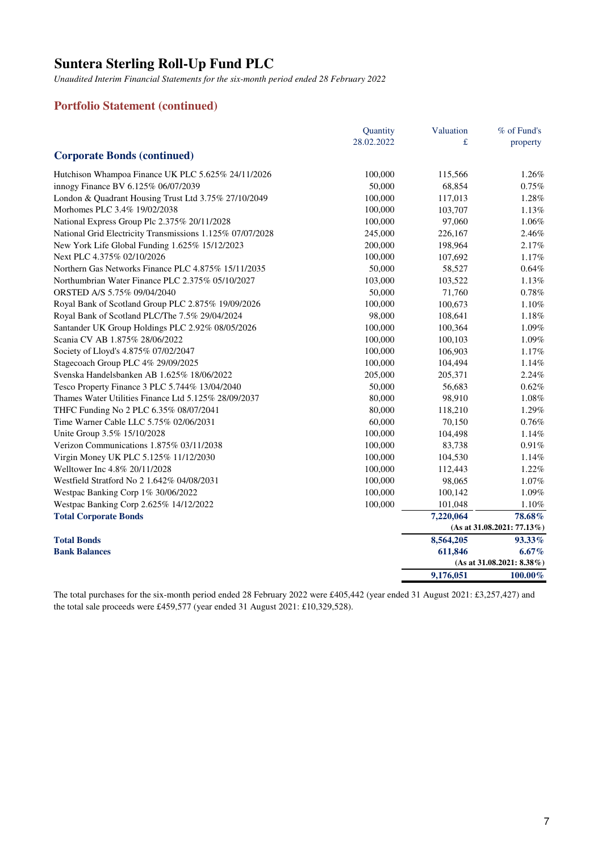*Unaudited Interim Financial Statements for the six-month period ended 28 February 2022*

### **Portfolio Statement (continued)**

|                                                           | Quantity   | Valuation | % of Fund's                  |
|-----------------------------------------------------------|------------|-----------|------------------------------|
|                                                           | 28.02.2022 | £         | property                     |
| <b>Corporate Bonds (continued)</b>                        |            |           |                              |
| Hutchison Whampoa Finance UK PLC 5.625% 24/11/2026        | 100,000    | 115,566   | 1.26%                        |
| innogy Finance BV 6.125% 06/07/2039                       | 50,000     | 68,854    | 0.75%                        |
| London & Quadrant Housing Trust Ltd 3.75% 27/10/2049      | 100,000    | 117,013   | 1.28%                        |
| Morhomes PLC 3.4% 19/02/2038                              | 100,000    | 103,707   | 1.13%                        |
| National Express Group Plc 2.375% 20/11/2028              | 100,000    | 97,060    | 1.06%                        |
| National Grid Electricity Transmissions 1.125% 07/07/2028 | 245,000    | 226,167   | 2.46%                        |
| New York Life Global Funding 1.625% 15/12/2023            | 200,000    | 198,964   | 2.17%                        |
| Next PLC 4.375% 02/10/2026                                | 100,000    | 107,692   | 1.17%                        |
| Northern Gas Networks Finance PLC 4.875% 15/11/2035       | 50,000     | 58,527    | 0.64%                        |
| Northumbrian Water Finance PLC 2.375% 05/10/2027          | 103,000    | 103,522   | 1.13%                        |
| ORSTED A/S 5.75% 09/04/2040                               | 50,000     | 71,760    | 0.78%                        |
| Royal Bank of Scotland Group PLC 2.875% 19/09/2026        | 100,000    | 100,673   | 1.10%                        |
| Royal Bank of Scotland PLC/The 7.5% 29/04/2024            | 98,000     | 108,641   | 1.18%                        |
| Santander UK Group Holdings PLC 2.92% 08/05/2026          | 100,000    | 100,364   | 1.09%                        |
| Scania CV AB 1.875% 28/06/2022                            | 100,000    | 100,103   | 1.09%                        |
| Society of Lloyd's 4.875% 07/02/2047                      | 100,000    | 106,903   | 1.17%                        |
| Stagecoach Group PLC 4% 29/09/2025                        | 100,000    | 104,494   | 1.14%                        |
| Svenska Handelsbanken AB 1.625% 18/06/2022                | 205,000    | 205,371   | 2.24%                        |
| Tesco Property Finance 3 PLC 5.744% 13/04/2040            | 50,000     | 56,683    | 0.62%                        |
| Thames Water Utilities Finance Ltd 5.125% 28/09/2037      | 80,000     | 98,910    | 1.08%                        |
| THFC Funding No 2 PLC 6.35% 08/07/2041                    | 80,000     | 118,210   | 1.29%                        |
| Time Warner Cable LLC 5.75% 02/06/2031                    | 60,000     | 70,150    | 0.76%                        |
| Unite Group 3.5% 15/10/2028                               | 100,000    | 104,498   | 1.14%                        |
| Verizon Communications 1.875% 03/11/2038                  | 100,000    | 83,738    | 0.91%                        |
| Virgin Money UK PLC 5.125% 11/12/2030                     | 100,000    | 104,530   | 1.14%                        |
| Welltower Inc 4.8% 20/11/2028                             | 100,000    | 112,443   | 1.22%                        |
| Westfield Stratford No 2 1.642% 04/08/2031                | 100,000    | 98,065    | 1.07%                        |
| Westpac Banking Corp 1% 30/06/2022                        | 100,000    | 100,142   | 1.09%                        |
| Westpac Banking Corp 2.625% 14/12/2022                    | 100,000    | 101,048   | 1.10%                        |
| <b>Total Corporate Bonds</b>                              |            | 7,220,064 | 78.68%                       |
|                                                           |            |           | (As at 31.08.2021: 77.13%)   |
| <b>Total Bonds</b>                                        |            | 8,564,205 | 93.33%                       |
| <b>Bank Balances</b>                                      |            | 611,846   | $6.67\%$                     |
|                                                           |            |           | $(As at 31.08.2021: 8.38\%)$ |
|                                                           |            | 9,176,051 | $100.00\%$                   |

The total purchases for the six-month period ended 28 February 2022 were £405,442 (year ended 31 August 2021: £3,257,427) and the total sale proceeds were £459,577 (year ended 31 August 2021: £10,329,528).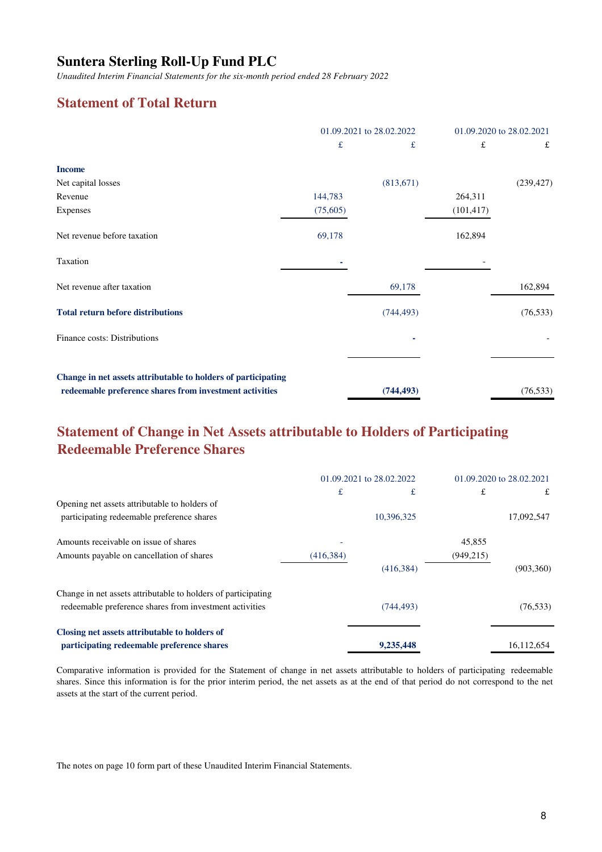*Unaudited Interim Financial Statements for the six-month period ended 28 February 2022*

# **Statement of Total Return**

|                                                                                                                          | 01.09.2021 to 28.02.2022 |            | 01.09.2020 to 28.02.2021 |            |
|--------------------------------------------------------------------------------------------------------------------------|--------------------------|------------|--------------------------|------------|
|                                                                                                                          | $\pounds$                | £          | £                        | £          |
| <b>Income</b>                                                                                                            |                          |            |                          |            |
| Net capital losses                                                                                                       |                          | (813,671)  |                          | (239, 427) |
| Revenue                                                                                                                  | 144,783                  |            | 264,311                  |            |
| Expenses                                                                                                                 | (75,605)                 |            | (101, 417)               |            |
| Net revenue before taxation                                                                                              | 69,178                   |            | 162,894                  |            |
| Taxation                                                                                                                 |                          |            |                          |            |
| Net revenue after taxation                                                                                               |                          | 69,178     |                          | 162,894    |
| <b>Total return before distributions</b>                                                                                 |                          | (744, 493) |                          | (76, 533)  |
| Finance costs: Distributions                                                                                             |                          |            |                          |            |
|                                                                                                                          |                          |            |                          |            |
| Change in net assets attributable to holders of participating<br>redeemable preference shares from investment activities |                          | (744, 493) |                          | (76, 533)  |

# **Statement of Change in Net Assets attributable to Holders of Participating Redeemable Preference Shares**

|                                                               | 01.09.2021 to 28.02.2022 |            | 01.09.2020 to 28.02.2021 |            |
|---------------------------------------------------------------|--------------------------|------------|--------------------------|------------|
|                                                               | £                        | £          | £                        | £          |
| Opening net assets attributable to holders of                 |                          |            |                          |            |
| participating redeemable preference shares                    |                          | 10,396,325 |                          | 17,092,547 |
| Amounts receivable on issue of shares                         |                          |            | 45,855                   |            |
| Amounts payable on cancellation of shares                     | (416, 384)               |            | (949, 215)               |            |
|                                                               |                          | (416, 384) |                          | (903, 360) |
| Change in net assets attributable to holders of participating |                          |            |                          |            |
| redeemable preference shares from investment activities       |                          | (744, 493) |                          | (76, 533)  |
| Closing net assets attributable to holders of                 |                          |            |                          |            |
| participating redeemable preference shares                    |                          | 9,235,448  |                          | 16,112,654 |

Comparative information is provided for the Statement of change in net assets attributable to holders of participating redeemable shares. Since this information is for the prior interim period, the net assets as at the end of that period do not correspond to the net assets at the start of the current period.

The notes on page 10 form part of these Unaudited Interim Financial Statements.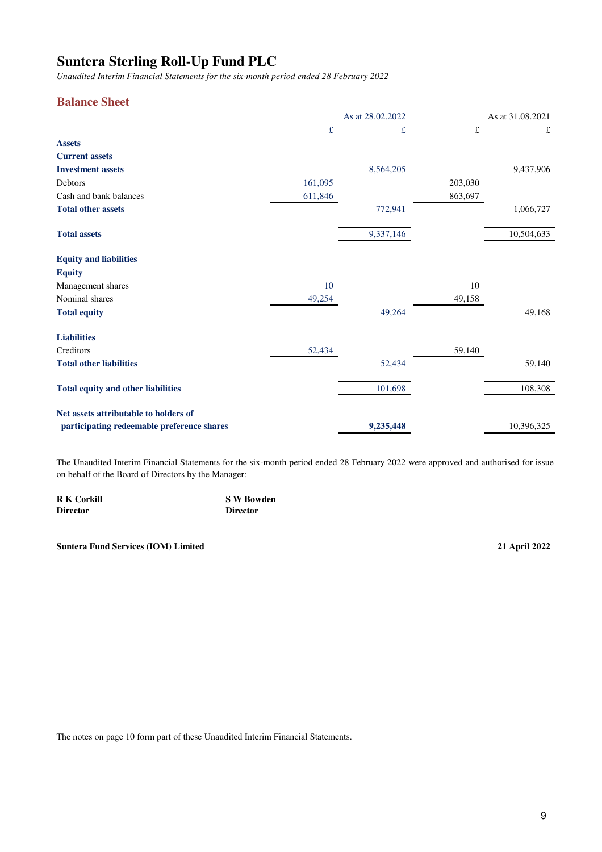*Unaudited Interim Financial Statements for the six-month period ended 28 February 2022*

### **Balance Sheet**

|                                                                                     | As at 28.02.2022 |           |             | As at 31.08.2021 |  |
|-------------------------------------------------------------------------------------|------------------|-----------|-------------|------------------|--|
|                                                                                     | £                | £         | $f_{\rm L}$ | £                |  |
| <b>Assets</b>                                                                       |                  |           |             |                  |  |
| <b>Current assets</b>                                                               |                  |           |             |                  |  |
| <b>Investment assets</b>                                                            |                  | 8,564,205 |             | 9,437,906        |  |
| Debtors                                                                             | 161,095          |           | 203,030     |                  |  |
| Cash and bank balances                                                              | 611,846          |           | 863,697     |                  |  |
| <b>Total other assets</b>                                                           |                  | 772,941   |             | 1,066,727        |  |
| <b>Total assets</b>                                                                 |                  | 9,337,146 |             | 10,504,633       |  |
| <b>Equity and liabilities</b>                                                       |                  |           |             |                  |  |
| <b>Equity</b>                                                                       |                  |           |             |                  |  |
| Management shares                                                                   | 10               |           | 10          |                  |  |
| Nominal shares                                                                      | 49,254           |           | 49,158      |                  |  |
| <b>Total equity</b>                                                                 |                  | 49,264    |             | 49,168           |  |
| <b>Liabilities</b>                                                                  |                  |           |             |                  |  |
| Creditors                                                                           | 52,434           |           | 59,140      |                  |  |
| <b>Total other liabilities</b>                                                      |                  | 52,434    |             | 59,140           |  |
| <b>Total equity and other liabilities</b>                                           |                  | 101,698   |             | 108,308          |  |
| Net assets attributable to holders of<br>participating redeemable preference shares |                  | 9,235,448 |             | 10,396,325       |  |

The Unaudited Interim Financial Statements for the six-month period ended 28 February 2022 were approved and authorised for issue on behalf of the Board of Directors by the Manager:

| <b>R K Corkill</b> | <b>S W Bowden</b> |
|--------------------|-------------------|
| <b>Director</b>    | <b>Director</b>   |

**Suntera Fund Services (IOM) Limited 21 April 2022**

The notes on page 10 form part of these Unaudited Interim Financial Statements.